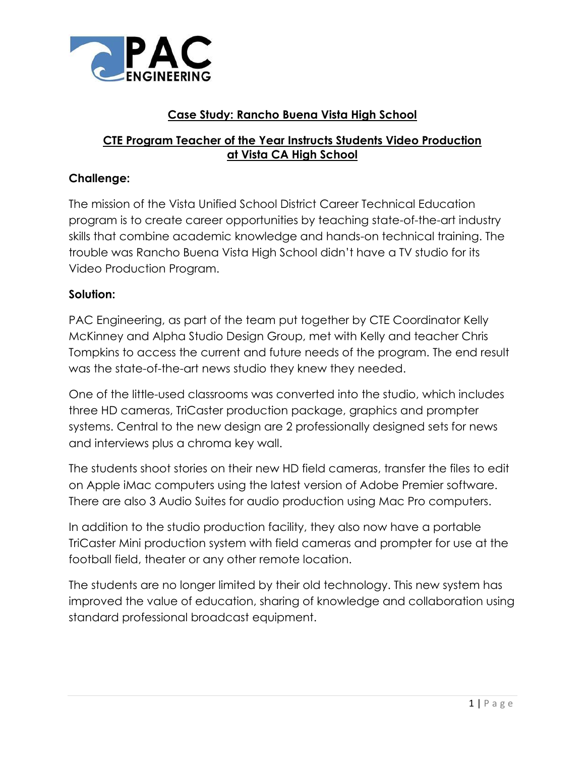

## **Case Study: Rancho Buena Vista High School**

## **CTE Program Teacher of the Year Instructs Students Video Production at Vista CA High School**

## **Challenge:**

The mission of the Vista Unified School District Career Technical Education program is to create career opportunities by teaching state-of-the-art industry skills that combine academic knowledge and hands-on technical training. The trouble was Rancho Buena Vista High School didn't have a TV studio for its Video Production Program.

## **Solution:**

PAC Engineering, as part of the team put together by CTE Coordinator Kelly McKinney and Alpha Studio Design Group, met with Kelly and teacher Chris Tompkins to access the current and future needs of the program. The end result was the state-of-the-art news studio they knew they needed.

One of the little-used classrooms was converted into the studio, which includes three HD cameras, TriCaster production package, graphics and prompter systems. Central to the new design are 2 professionally designed sets for news and interviews plus a chroma key wall.

The students shoot stories on their new HD field cameras, transfer the files to edit on Apple iMac computers using the latest version of Adobe Premier software. There are also 3 Audio Suites for audio production using Mac Pro computers.

In addition to the studio production facility, they also now have a portable TriCaster Mini production system with field cameras and prompter for use at the football field, theater or any other remote location.

The students are no longer limited by their old technology. This new system has improved the value of education, sharing of knowledge and collaboration using standard professional broadcast equipment.